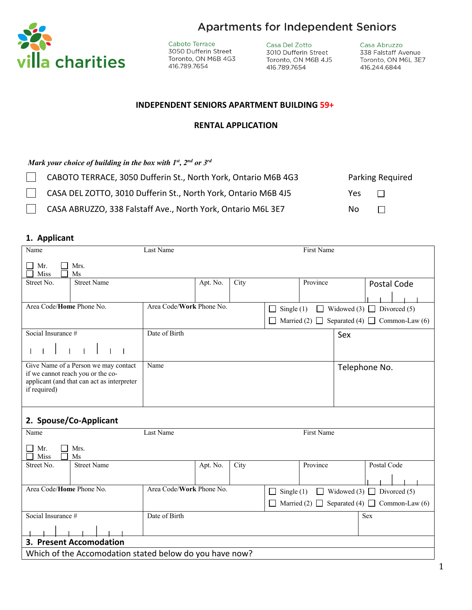

**Apartments for Independent Seniors** 

Caboto Terrace 3050 Dufferin Street Toronto, ON M6B 4G3 416.789.7654

Casa Del Zotto 3010 Dufferin Street Toronto, ON M6B 4J5 416.789.7654

Casa Abruzzo 338 Falstaff Avenue Toronto, ON M6L 3E7 416.244.6844

#### **INDEPENDENT SENIORS APARTMENT BUILDING 59+**

#### **RENTAL APPLICATION**

*Mark your choice of building in the box with 1st, 2nd or 3rd*

| CABOTO TERRACE, 3050 Dufferin St., North York, Ontario M6B 4G3 |     | <b>Parking Required</b> |
|----------------------------------------------------------------|-----|-------------------------|
| CASA DEL ZOTTO, 3010 Dufferin St., North York, Ontario M6B 4J5 | Yes | $\Box$                  |
| CASA ABRUZZO, 338 Falstaff Ave., North York, Ontario M6L 3E7   | Nο  | $\perp$                 |

## **1. Applicant**

| Name                                                                                                                                    |                         | Last Name                |                                                                        |      |                                          | First Name |     |                                                        |
|-----------------------------------------------------------------------------------------------------------------------------------------|-------------------------|--------------------------|------------------------------------------------------------------------|------|------------------------------------------|------------|-----|--------------------------------------------------------|
| Mr.<br>Miss                                                                                                                             | Mrs.<br>Ms              |                          |                                                                        |      |                                          |            |     |                                                        |
| Street No.                                                                                                                              | <b>Street Name</b>      |                          | Apt. No.                                                               | City |                                          | Province   |     | Postal Code                                            |
|                                                                                                                                         |                         |                          |                                                                        |      |                                          |            |     |                                                        |
| Area Code/Home Phone No.                                                                                                                |                         | Area Code/Work Phone No. |                                                                        |      | Single $(1)$<br>$\overline{\phantom{a}}$ |            |     | $\Box$ Widowed (3) $\Box$ Divorced (5)                 |
|                                                                                                                                         |                         |                          |                                                                        |      |                                          |            |     | Married (2) $\Box$ Separated (4) $\Box$ Common-Law (6) |
| Social Insurance #                                                                                                                      |                         | Date of Birth            |                                                                        |      |                                          |            | Sex |                                                        |
|                                                                                                                                         |                         |                          |                                                                        |      |                                          |            |     |                                                        |
| Give Name of a Person we may contact<br>if we cannot reach you or the co-<br>applicant (and that can act as interpreter<br>if required) |                         | Name                     |                                                                        |      |                                          |            |     | Telephone No.                                          |
|                                                                                                                                         | 2. Spouse/Co-Applicant  |                          |                                                                        |      |                                          |            |     |                                                        |
| Name                                                                                                                                    |                         | Last Name                |                                                                        |      |                                          | First Name |     |                                                        |
| Mr.<br>Miss                                                                                                                             | Mrs.<br>Ms              |                          |                                                                        |      |                                          |            |     |                                                        |
| Street No.                                                                                                                              | <b>Street Name</b>      |                          | Apt. No.                                                               | City |                                          | Province   |     | Postal Code                                            |
|                                                                                                                                         |                         |                          |                                                                        |      |                                          |            |     |                                                        |
| Area Code/Home Phone No.                                                                                                                |                         | Area Code/Work Phone No. | $\Box$ Widowed (3) $\Box$ Divorced (5)<br>Single $(1)$<br>$\mathsf{L}$ |      |                                          |            |     |                                                        |
|                                                                                                                                         |                         |                          |                                                                        |      |                                          |            |     | Married (2) $\Box$ Separated (4) $\Box$ Common-Law (6) |
| Social Insurance #                                                                                                                      |                         | Date of Birth            |                                                                        |      |                                          |            |     | <b>Sex</b>                                             |
|                                                                                                                                         |                         |                          |                                                                        |      |                                          |            |     |                                                        |
|                                                                                                                                         | 3. Present Accomodation |                          |                                                                        |      |                                          |            |     |                                                        |
| Which of the Accomodation stated below do you have now?                                                                                 |                         |                          |                                                                        |      |                                          |            |     |                                                        |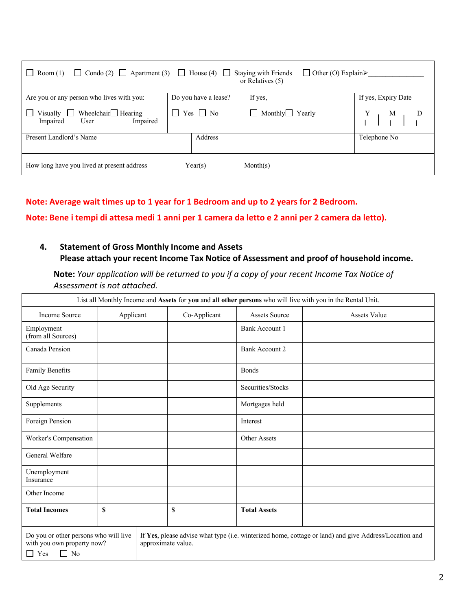| Condo (2) $\Box$ Apartment (3)<br>Room(1)                                    | $\Box$ Other (O) Explain<br>$\Box$ House (4) $\Box$<br>Staying with Friends<br>or Relatives $(5)$ |                     |
|------------------------------------------------------------------------------|---------------------------------------------------------------------------------------------------|---------------------|
| Are you or any person who lives with you:                                    | If yes,<br>Do you have a lease?                                                                   | If yes, Expiry Date |
| Wheelchair $\Box$ Hearing<br>Visually $\Box$<br>Impaired<br>User<br>Impaired | $\Box$ Monthly $\Box$ Yearly<br>Yes $\Box$ No                                                     | $\frac{M}{I}$       |
| Present Landlord's Name                                                      | Address                                                                                           | Telephone No        |
| How long have you lived at present address                                   | Month(s)<br>Year(s)                                                                               |                     |

## **Note: Average wait times up to 1 year for 1 Bedroom and up to 2 years for 2 Bedroom.**

**Note: Bene i tempi di attesa medi 1 anni per 1 camera da letto e 2 anni per 2 camera da letto).**

## **4. Statement of Gross Monthly Income and Assets Please attach your recent Income Tax Notice of Assessment and proof of household income.**

**Note:** *Your application will be returned to you if a copy of your recent Income Tax Notice of Assessment is not attached.*

| List all Monthly Income and Assets for you and all other persons who will live with you in the Rental Unit.                                                                                                                         |           |  |              |                       |                     |
|-------------------------------------------------------------------------------------------------------------------------------------------------------------------------------------------------------------------------------------|-----------|--|--------------|-----------------------|---------------------|
| <b>Income Source</b>                                                                                                                                                                                                                | Applicant |  | Co-Applicant | <b>Assets Source</b>  | <b>Assets Value</b> |
| Employment<br>(from all Sources)                                                                                                                                                                                                    |           |  |              | <b>Bank Account 1</b> |                     |
| Canada Pension                                                                                                                                                                                                                      |           |  |              | Bank Account 2        |                     |
| Family Benefits                                                                                                                                                                                                                     |           |  |              | <b>Bonds</b>          |                     |
| Old Age Security                                                                                                                                                                                                                    |           |  |              | Securities/Stocks     |                     |
| Supplements                                                                                                                                                                                                                         |           |  |              | Mortgages held        |                     |
| Foreign Pension                                                                                                                                                                                                                     |           |  |              | Interest              |                     |
| Worker's Compensation                                                                                                                                                                                                               |           |  |              | Other Assets          |                     |
| General Welfare                                                                                                                                                                                                                     |           |  |              |                       |                     |
| Unemployment<br>Insurance                                                                                                                                                                                                           |           |  |              |                       |                     |
| Other Income                                                                                                                                                                                                                        |           |  |              |                       |                     |
| <b>Total Incomes</b>                                                                                                                                                                                                                | \$        |  | \$           | <b>Total Assets</b>   |                     |
| Do you or other persons who will live<br>If Yes, please advise what type (i.e. winterized home, cottage or land) and give Address/Location and<br>with you own property now?<br>approximate value.<br>No<br>Yes<br>$\Box$<br>$\Box$ |           |  |              |                       |                     |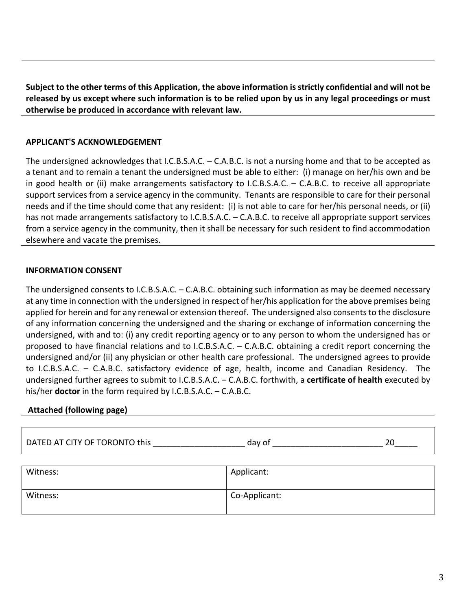**Subject to the other terms of this Application, the above information is strictly confidential and will not be released by us except where such information is to be relied upon by us in any legal proceedings or must otherwise be produced in accordance with relevant law.**

## **APPLICANT'S ACKNOWLEDGEMENT**

The undersigned acknowledges that I.C.B.S.A.C. – C.A.B.C. is not a nursing home and that to be accepted as a tenant and to remain a tenant the undersigned must be able to either: (i) manage on her/his own and be in good health or (ii) make arrangements satisfactory to I.C.B.S.A.C. – C.A.B.C. to receive all appropriate support services from a service agency in the community. Tenants are responsible to care for their personal needs and if the time should come that any resident: (i) is not able to care for her/his personal needs, or (ii) has not made arrangements satisfactory to I.C.B.S.A.C. – C.A.B.C. to receive all appropriate support services from a service agency in the community, then it shall be necessary for such resident to find accommodation elsewhere and vacate the premises.

## **INFORMATION CONSENT**

The undersigned consents to I.C.B.S.A.C. – C.A.B.C. obtaining such information as may be deemed necessary at any time in connection with the undersigned in respect of her/his application for the above premises being applied for herein and for any renewal or extension thereof. The undersigned also consents to the disclosure of any information concerning the undersigned and the sharing or exchange of information concerning the undersigned, with and to: (i) any credit reporting agency or to any person to whom the undersigned has or proposed to have financial relations and to I.C.B.S.A.C. – C.A.B.C. obtaining a credit report concerning the undersigned and/or (ii) any physician or other health care professional. The undersigned agrees to provide to I.C.B.S.A.C. – C.A.B.C. satisfactory evidence of age, health, income and Canadian Residency. The undersigned further agrees to submit to I.C.B.S.A.C. – C.A.B.C. forthwith, a **certificate of health** executed by his/her **doctor** in the form required by I.C.B.S.A.C. – C.A.B.C.

#### **Attached (following page)**

DATED AT CITY OF TORONTO this \_\_\_\_\_\_\_\_\_\_\_\_\_\_\_\_\_\_\_\_ day of \_\_\_\_\_\_\_\_\_\_\_\_\_\_\_\_\_\_\_\_\_\_\_\_ 20\_\_\_\_\_

| Witness: | Applicant:    |
|----------|---------------|
| Witness: | Co-Applicant: |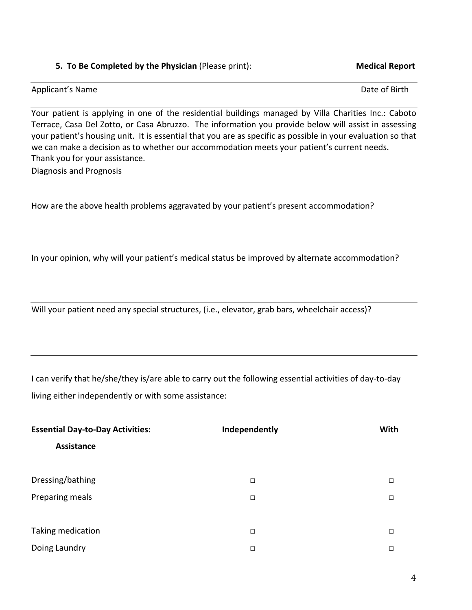## **5. To Be Completed by the Physician** (Please print): **Medical Report**

## Applicant's Name Date of Birth

Your patient is applying in one of the residential buildings managed by Villa Charities Inc.: Caboto Terrace, Casa Del Zotto, or Casa Abruzzo. The information you provide below will assist in assessing your patient's housing unit. It is essential that you are as specific as possible in your evaluation so that we can make a decision as to whether our accommodation meets your patient's current needs. Thank you for your assistance.

Diagnosis and Prognosis

How are the above health problems aggravated by your patient's present accommodation?

In your opinion, why will your patient's medical status be improved by alternate accommodation?

Will your patient need any special structures, (i.e., elevator, grab bars, wheelchair access)?

I can verify that he/she/they is/are able to carry out the following essential activities of day-to-day living either independently or with some assistance:

| <b>Essential Day-to-Day Activities:</b> | Independently | With   |
|-----------------------------------------|---------------|--------|
| Assistance                              |               |        |
|                                         |               |        |
| Dressing/bathing                        | $\Box$        | П      |
| Preparing meals                         | $\Box$        | $\Box$ |
|                                         |               |        |
| Taking medication                       | $\Box$        | П      |
| Doing Laundry                           | $\Box$        | П      |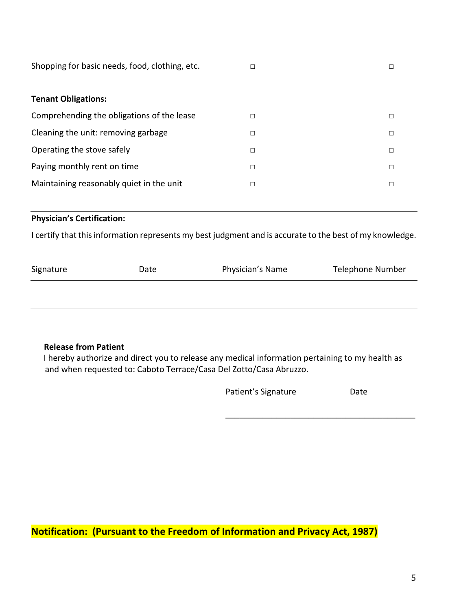| Shopping for basic needs, food, clothing, etc. | □      |   |
|------------------------------------------------|--------|---|
| <b>Tenant Obligations:</b>                     |        |   |
| Comprehending the obligations of the lease     | П      | П |
| Cleaning the unit: removing garbage            | □      | □ |
| Operating the stove safely                     | $\Box$ | □ |
| Paying monthly rent on time                    | $\Box$ | П |
| Maintaining reasonably quiet in the unit       | □      | Г |

## **Physician's Certification:**

I certify that this information represents my best judgment and is accurate to the best of my knowledge.

| Signature | Date | Physician's Name | Telephone Number |
|-----------|------|------------------|------------------|
|           |      |                  |                  |

#### **Release from Patient**

 I hereby authorize and direct you to release any medical information pertaining to my health as and when requested to: Caboto Terrace/Casa Del Zotto/Casa Abruzzo.

| Patient's Signature | Date |
|---------------------|------|
|---------------------|------|

**\_\_\_\_\_\_\_\_\_\_\_\_\_\_\_\_\_\_\_\_\_\_\_\_\_\_\_\_\_\_\_\_\_\_\_\_\_\_\_\_\_**

**Notification: (Pursuant to the Freedom of Information and Privacy Act, 1987)**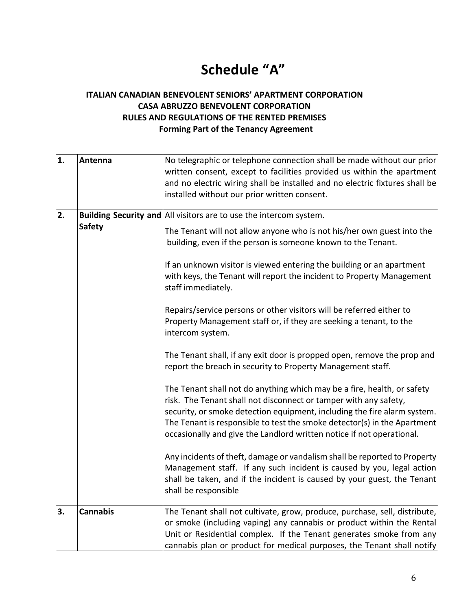# **Schedule "A"**

## **ITALIAN CANADIAN BENEVOLENT SENIORS' APARTMENT CORPORATION CASA ABRUZZO BENEVOLENT CORPORATION RULES AND REGULATIONS OF THE RENTED PREMISES Forming Part of the Tenancy Agreement**

| 1. | Antenna         | No telegraphic or telephone connection shall be made without our prior                                                                                                                                                                                                                               |
|----|-----------------|------------------------------------------------------------------------------------------------------------------------------------------------------------------------------------------------------------------------------------------------------------------------------------------------------|
|    |                 | written consent, except to facilities provided us within the apartment                                                                                                                                                                                                                               |
|    |                 | and no electric wiring shall be installed and no electric fixtures shall be                                                                                                                                                                                                                          |
|    |                 | installed without our prior written consent.                                                                                                                                                                                                                                                         |
| 2. |                 | Building Security and All visitors are to use the intercom system.                                                                                                                                                                                                                                   |
|    | <b>Safety</b>   | The Tenant will not allow anyone who is not his/her own guest into the                                                                                                                                                                                                                               |
|    |                 | building, even if the person is someone known to the Tenant.                                                                                                                                                                                                                                         |
|    |                 | If an unknown visitor is viewed entering the building or an apartment<br>with keys, the Tenant will report the incident to Property Management<br>staff immediately.                                                                                                                                 |
|    |                 | Repairs/service persons or other visitors will be referred either to<br>Property Management staff or, if they are seeking a tenant, to the<br>intercom system.                                                                                                                                       |
|    |                 | The Tenant shall, if any exit door is propped open, remove the prop and<br>report the breach in security to Property Management staff.                                                                                                                                                               |
|    |                 | The Tenant shall not do anything which may be a fire, health, or safety<br>risk. The Tenant shall not disconnect or tamper with any safety,                                                                                                                                                          |
|    |                 | security, or smoke detection equipment, including the fire alarm system.<br>The Tenant is responsible to test the smoke detector(s) in the Apartment<br>occasionally and give the Landlord written notice if not operational.                                                                        |
|    |                 | Any incidents of theft, damage or vandalism shall be reported to Property<br>Management staff. If any such incident is caused by you, legal action<br>shall be taken, and if the incident is caused by your guest, the Tenant<br>shall be responsible                                                |
| 3. | <b>Cannabis</b> | The Tenant shall not cultivate, grow, produce, purchase, sell, distribute,<br>or smoke (including vaping) any cannabis or product within the Rental<br>Unit or Residential complex. If the Tenant generates smoke from any<br>cannabis plan or product for medical purposes, the Tenant shall notify |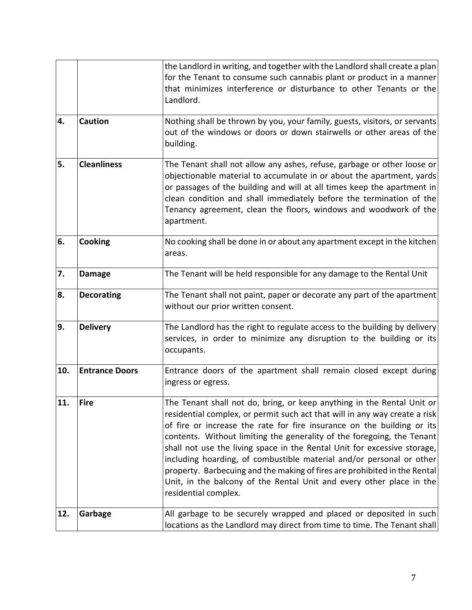|     |                       | the Landlord in writing, and together with the Landlord shall create a plan<br>for the Tenant to consume such cannabis plant or product in a manner<br>that minimizes interference or disturbance to other Tenants or the<br>Landlord.                                                                                                                                                                                                                                                                                                                                                                                                    |
|-----|-----------------------|-------------------------------------------------------------------------------------------------------------------------------------------------------------------------------------------------------------------------------------------------------------------------------------------------------------------------------------------------------------------------------------------------------------------------------------------------------------------------------------------------------------------------------------------------------------------------------------------------------------------------------------------|
| 4.  | <b>Caution</b>        | Nothing shall be thrown by you, your family, guests, visitors, or servants<br>out of the windows or doors or down stairwells or other areas of the<br>building.                                                                                                                                                                                                                                                                                                                                                                                                                                                                           |
| 5.  | <b>Cleanliness</b>    | The Tenant shall not allow any ashes, refuse, garbage or other loose or<br>objectionable material to accumulate in or about the apartment, yards<br>or passages of the building and will at all times keep the apartment in<br>clean condition and shall immediately before the termination of the<br>Tenancy agreement, clean the floors, windows and woodwork of the<br>apartment.                                                                                                                                                                                                                                                      |
| 6.  | <b>Cooking</b>        | No cooking shall be done in or about any apartment except in the kitchen<br>areas.                                                                                                                                                                                                                                                                                                                                                                                                                                                                                                                                                        |
| 7.  | <b>Damage</b>         | The Tenant will be held responsible for any damage to the Rental Unit                                                                                                                                                                                                                                                                                                                                                                                                                                                                                                                                                                     |
| 8.  | <b>Decorating</b>     | The Tenant shall not paint, paper or decorate any part of the apartment<br>without our prior written consent.                                                                                                                                                                                                                                                                                                                                                                                                                                                                                                                             |
| 9.  | <b>Delivery</b>       | The Landlord has the right to regulate access to the building by delivery<br>services, in order to minimize any disruption to the building or its<br>occupants.                                                                                                                                                                                                                                                                                                                                                                                                                                                                           |
| 10. | <b>Entrance Doors</b> | Entrance doors of the apartment shall remain closed except during<br>ingress or egress.                                                                                                                                                                                                                                                                                                                                                                                                                                                                                                                                                   |
| 11. | <b>Fire</b>           | The Tenant shall not do, bring, or keep anything in the Rental Unit or<br>residential complex, or permit such act that will in any way create a risk<br>of fire or increase the rate for fire insurance on the building or its<br>contents. Without limiting the generality of the foregoing, the Tenant<br>shall not use the living space in the Rental Unit for excessive storage,<br>including hoarding, of combustible material and/or personal or other<br>property. Barbecuing and the making of fires are prohibited in the Rental<br>Unit, in the balcony of the Rental Unit and every other place in the<br>residential complex. |
| 12. | Garbage               | All garbage to be securely wrapped and placed or deposited in such<br>locations as the Landlord may direct from time to time. The Tenant shall                                                                                                                                                                                                                                                                                                                                                                                                                                                                                            |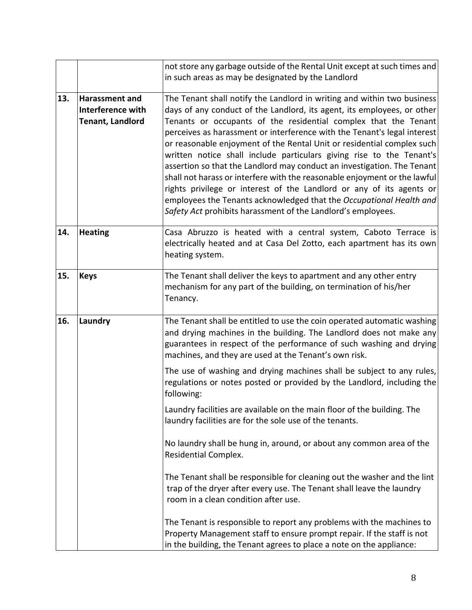|     |                                            | not store any garbage outside of the Rental Unit except at such times and<br>in such areas as may be designated by the Landlord                                                                                                                                                                                                                                                                                                                                                                                                                                                                                                                                      |
|-----|--------------------------------------------|----------------------------------------------------------------------------------------------------------------------------------------------------------------------------------------------------------------------------------------------------------------------------------------------------------------------------------------------------------------------------------------------------------------------------------------------------------------------------------------------------------------------------------------------------------------------------------------------------------------------------------------------------------------------|
| 13. | <b>Harassment and</b><br>Interference with | The Tenant shall notify the Landlord in writing and within two business<br>days of any conduct of the Landlord, its agent, its employees, or other                                                                                                                                                                                                                                                                                                                                                                                                                                                                                                                   |
|     | <b>Tenant, Landlord</b>                    | Tenants or occupants of the residential complex that the Tenant<br>perceives as harassment or interference with the Tenant's legal interest<br>or reasonable enjoyment of the Rental Unit or residential complex such<br>written notice shall include particulars giving rise to the Tenant's<br>assertion so that the Landlord may conduct an investigation. The Tenant<br>shall not harass or interfere with the reasonable enjoyment or the lawful<br>rights privilege or interest of the Landlord or any of its agents or<br>employees the Tenants acknowledged that the Occupational Health and<br>Safety Act prohibits harassment of the Landlord's employees. |
| 14. | <b>Heating</b>                             | Casa Abruzzo is heated with a central system, Caboto Terrace is<br>electrically heated and at Casa Del Zotto, each apartment has its own<br>heating system.                                                                                                                                                                                                                                                                                                                                                                                                                                                                                                          |
| 15. | <b>Keys</b>                                | The Tenant shall deliver the keys to apartment and any other entry<br>mechanism for any part of the building, on termination of his/her<br>Tenancy.                                                                                                                                                                                                                                                                                                                                                                                                                                                                                                                  |
| 16. | Laundry                                    | The Tenant shall be entitled to use the coin operated automatic washing<br>and drying machines in the building. The Landlord does not make any<br>guarantees in respect of the performance of such washing and drying<br>machines, and they are used at the Tenant's own risk.                                                                                                                                                                                                                                                                                                                                                                                       |
|     |                                            | The use of washing and drying machines shall be subject to any rules,<br>regulations or notes posted or provided by the Landlord, including the<br>following:                                                                                                                                                                                                                                                                                                                                                                                                                                                                                                        |
|     |                                            | Laundry facilities are available on the main floor of the building. The<br>laundry facilities are for the sole use of the tenants.                                                                                                                                                                                                                                                                                                                                                                                                                                                                                                                                   |
|     |                                            | No laundry shall be hung in, around, or about any common area of the<br>Residential Complex.                                                                                                                                                                                                                                                                                                                                                                                                                                                                                                                                                                         |
|     |                                            | The Tenant shall be responsible for cleaning out the washer and the lint<br>trap of the dryer after every use. The Tenant shall leave the laundry<br>room in a clean condition after use.                                                                                                                                                                                                                                                                                                                                                                                                                                                                            |
|     |                                            | The Tenant is responsible to report any problems with the machines to<br>Property Management staff to ensure prompt repair. If the staff is not<br>in the building, the Tenant agrees to place a note on the appliance:                                                                                                                                                                                                                                                                                                                                                                                                                                              |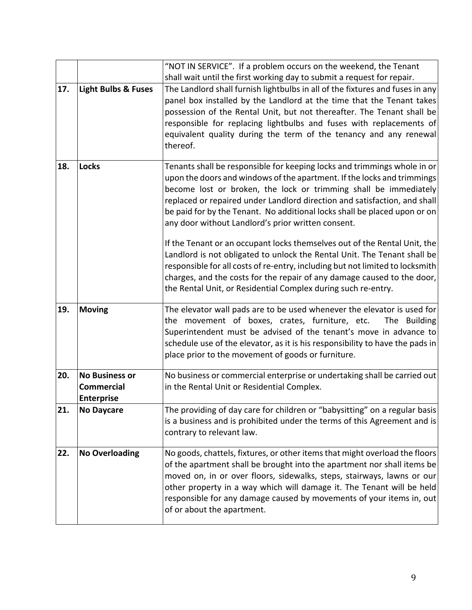|     |                                                                 | "NOT IN SERVICE". If a problem occurs on the weekend, the Tenant                                                                                                                                                                                                                                                                                                                                                                                                                                                                                                                                 |  |
|-----|-----------------------------------------------------------------|--------------------------------------------------------------------------------------------------------------------------------------------------------------------------------------------------------------------------------------------------------------------------------------------------------------------------------------------------------------------------------------------------------------------------------------------------------------------------------------------------------------------------------------------------------------------------------------------------|--|
|     |                                                                 | shall wait until the first working day to submit a request for repair.                                                                                                                                                                                                                                                                                                                                                                                                                                                                                                                           |  |
| 17. | <b>Light Bulbs &amp; Fuses</b>                                  | The Landlord shall furnish lightbulbs in all of the fixtures and fuses in any<br>panel box installed by the Landlord at the time that the Tenant takes<br>possession of the Rental Unit, but not thereafter. The Tenant shall be<br>responsible for replacing lightbulbs and fuses with replacements of<br>equivalent quality during the term of the tenancy and any renewal<br>thereof.                                                                                                                                                                                                         |  |
| 18. | <b>Locks</b>                                                    | Tenants shall be responsible for keeping locks and trimmings whole in or<br>upon the doors and windows of the apartment. If the locks and trimmings<br>become lost or broken, the lock or trimming shall be immediately<br>replaced or repaired under Landlord direction and satisfaction, and shall<br>be paid for by the Tenant. No additional locks shall be placed upon or on<br>any door without Landlord's prior written consent.<br>If the Tenant or an occupant locks themselves out of the Rental Unit, the<br>Landlord is not obligated to unlock the Rental Unit. The Tenant shall be |  |
|     |                                                                 | responsible for all costs of re-entry, including but not limited to locksmith<br>charges, and the costs for the repair of any damage caused to the door,<br>the Rental Unit, or Residential Complex during such re-entry.                                                                                                                                                                                                                                                                                                                                                                        |  |
| 19. | <b>Moving</b>                                                   | The elevator wall pads are to be used whenever the elevator is used for<br>the movement of boxes, crates, furniture, etc.<br>The Building<br>Superintendent must be advised of the tenant's move in advance to<br>schedule use of the elevator, as it is his responsibility to have the pads in<br>place prior to the movement of goods or furniture.                                                                                                                                                                                                                                            |  |
| 20. | <b>No Business or</b><br><b>Commercial</b><br><b>Enterprise</b> | No business or commercial enterprise or undertaking shall be carried out<br>in the Rental Unit or Residential Complex.                                                                                                                                                                                                                                                                                                                                                                                                                                                                           |  |
| 21. | <b>No Daycare</b>                                               | The providing of day care for children or "babysitting" on a regular basis<br>is a business and is prohibited under the terms of this Agreement and is<br>contrary to relevant law.                                                                                                                                                                                                                                                                                                                                                                                                              |  |
| 22. | <b>No Overloading</b>                                           | No goods, chattels, fixtures, or other items that might overload the floors<br>of the apartment shall be brought into the apartment nor shall items be<br>moved on, in or over floors, sidewalks, steps, stairways, lawns or our<br>other property in a way which will damage it. The Tenant will be held<br>responsible for any damage caused by movements of your items in, out<br>of or about the apartment.                                                                                                                                                                                  |  |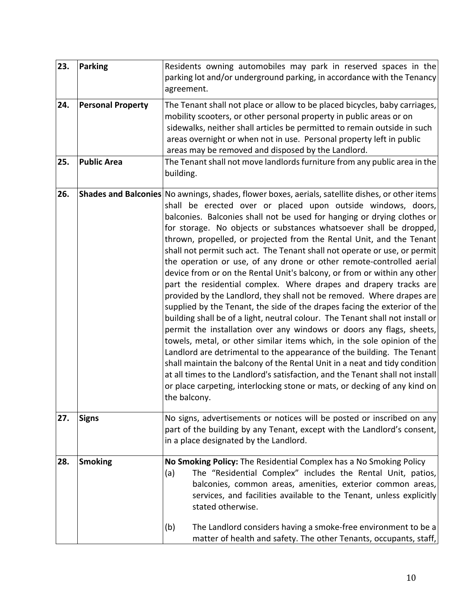| 23. | Parking                  | Residents owning automobiles may park in reserved spaces in the<br>parking lot and/or underground parking, in accordance with the Tenancy<br>agreement.                                                                                                                                                                                                                                                                                                                                                                                                                                                                                                                                                                                                                                                                                                                                                                                                                                                                                                                                                                                                                                                                                                                                                                                                                                                                                |  |
|-----|--------------------------|----------------------------------------------------------------------------------------------------------------------------------------------------------------------------------------------------------------------------------------------------------------------------------------------------------------------------------------------------------------------------------------------------------------------------------------------------------------------------------------------------------------------------------------------------------------------------------------------------------------------------------------------------------------------------------------------------------------------------------------------------------------------------------------------------------------------------------------------------------------------------------------------------------------------------------------------------------------------------------------------------------------------------------------------------------------------------------------------------------------------------------------------------------------------------------------------------------------------------------------------------------------------------------------------------------------------------------------------------------------------------------------------------------------------------------------|--|
| 24. | <b>Personal Property</b> | The Tenant shall not place or allow to be placed bicycles, baby carriages,<br>mobility scooters, or other personal property in public areas or on<br>sidewalks, neither shall articles be permitted to remain outside in such<br>areas overnight or when not in use. Personal property left in public<br>areas may be removed and disposed by the Landlord.                                                                                                                                                                                                                                                                                                                                                                                                                                                                                                                                                                                                                                                                                                                                                                                                                                                                                                                                                                                                                                                                            |  |
| 25. | <b>Public Area</b>       | The Tenant shall not move landlords furniture from any public area in the<br>building.                                                                                                                                                                                                                                                                                                                                                                                                                                                                                                                                                                                                                                                                                                                                                                                                                                                                                                                                                                                                                                                                                                                                                                                                                                                                                                                                                 |  |
| 26. |                          | <b>Shades and Balconies</b> No awnings, shades, flower boxes, aerials, satellite dishes, or other items<br>shall be erected over or placed upon outside windows, doors,<br>balconies. Balconies shall not be used for hanging or drying clothes or<br>for storage. No objects or substances whatsoever shall be dropped,<br>thrown, propelled, or projected from the Rental Unit, and the Tenant<br>shall not permit such act. The Tenant shall not operate or use, or permit<br>the operation or use, of any drone or other remote-controlled aerial<br>device from or on the Rental Unit's balcony, or from or within any other<br>part the residential complex. Where drapes and drapery tracks are<br>provided by the Landlord, they shall not be removed. Where drapes are<br>supplied by the Tenant, the side of the drapes facing the exterior of the<br>building shall be of a light, neutral colour. The Tenant shall not install or<br>permit the installation over any windows or doors any flags, sheets,<br>towels, metal, or other similar items which, in the sole opinion of the<br>Landlord are detrimental to the appearance of the building. The Tenant<br>shall maintain the balcony of the Rental Unit in a neat and tidy condition<br>at all times to the Landlord's satisfaction, and the Tenant shall not install<br>or place carpeting, interlocking stone or mats, or decking of any kind on<br>the balcony. |  |
| 27. | <b>Signs</b>             | No signs, advertisements or notices will be posted or inscribed on any<br>part of the building by any Tenant, except with the Landlord's consent,<br>in a place designated by the Landlord.                                                                                                                                                                                                                                                                                                                                                                                                                                                                                                                                                                                                                                                                                                                                                                                                                                                                                                                                                                                                                                                                                                                                                                                                                                            |  |
| 28. | <b>Smoking</b>           | No Smoking Policy: The Residential Complex has a No Smoking Policy<br>The "Residential Complex" includes the Rental Unit, patios,<br>(a)<br>balconies, common areas, amenities, exterior common areas,<br>services, and facilities available to the Tenant, unless explicitly<br>stated otherwise.<br>The Landlord considers having a smoke-free environment to be a<br>(b)                                                                                                                                                                                                                                                                                                                                                                                                                                                                                                                                                                                                                                                                                                                                                                                                                                                                                                                                                                                                                                                            |  |
|     |                          | matter of health and safety. The other Tenants, occupants, staff,                                                                                                                                                                                                                                                                                                                                                                                                                                                                                                                                                                                                                                                                                                                                                                                                                                                                                                                                                                                                                                                                                                                                                                                                                                                                                                                                                                      |  |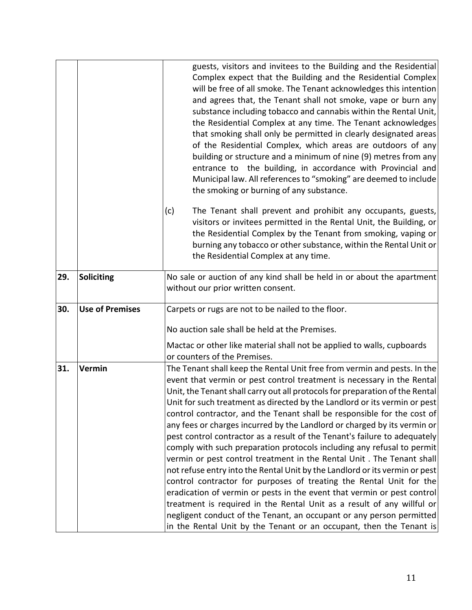|     |                        | guests, visitors and invitees to the Building and the Residential<br>Complex expect that the Building and the Residential Complex<br>will be free of all smoke. The Tenant acknowledges this intention<br>and agrees that, the Tenant shall not smoke, vape or burn any<br>substance including tobacco and cannabis within the Rental Unit,<br>the Residential Complex at any time. The Tenant acknowledges<br>that smoking shall only be permitted in clearly designated areas<br>of the Residential Complex, which areas are outdoors of any<br>building or structure and a minimum of nine (9) metres from any<br>entrance to the building, in accordance with Provincial and<br>Municipal law. All references to "smoking" are deemed to include<br>the smoking or burning of any substance.                                                                                                                                                                                                                                                                                                                                                                 |  |
|-----|------------------------|------------------------------------------------------------------------------------------------------------------------------------------------------------------------------------------------------------------------------------------------------------------------------------------------------------------------------------------------------------------------------------------------------------------------------------------------------------------------------------------------------------------------------------------------------------------------------------------------------------------------------------------------------------------------------------------------------------------------------------------------------------------------------------------------------------------------------------------------------------------------------------------------------------------------------------------------------------------------------------------------------------------------------------------------------------------------------------------------------------------------------------------------------------------|--|
|     |                        | (c)<br>The Tenant shall prevent and prohibit any occupants, guests,<br>visitors or invitees permitted in the Rental Unit, the Building, or<br>the Residential Complex by the Tenant from smoking, vaping or<br>burning any tobacco or other substance, within the Rental Unit or<br>the Residential Complex at any time.                                                                                                                                                                                                                                                                                                                                                                                                                                                                                                                                                                                                                                                                                                                                                                                                                                         |  |
| 29. | <b>Soliciting</b>      | No sale or auction of any kind shall be held in or about the apartment<br>without our prior written consent.                                                                                                                                                                                                                                                                                                                                                                                                                                                                                                                                                                                                                                                                                                                                                                                                                                                                                                                                                                                                                                                     |  |
| 30. | <b>Use of Premises</b> | Carpets or rugs are not to be nailed to the floor.                                                                                                                                                                                                                                                                                                                                                                                                                                                                                                                                                                                                                                                                                                                                                                                                                                                                                                                                                                                                                                                                                                               |  |
|     |                        | No auction sale shall be held at the Premises.                                                                                                                                                                                                                                                                                                                                                                                                                                                                                                                                                                                                                                                                                                                                                                                                                                                                                                                                                                                                                                                                                                                   |  |
|     |                        | Mactac or other like material shall not be applied to walls, cupboards<br>or counters of the Premises.                                                                                                                                                                                                                                                                                                                                                                                                                                                                                                                                                                                                                                                                                                                                                                                                                                                                                                                                                                                                                                                           |  |
| 31. | Vermin                 | The Tenant shall keep the Rental Unit free from vermin and pests. In the<br>event that vermin or pest control treatment is necessary in the Rental<br>Unit, the Tenant shall carry out all protocols for preparation of the Rental<br>Unit for such treatment as directed by the Landlord or its vermin or pest<br>control contractor, and the Tenant shall be responsible for the cost of<br>any fees or charges incurred by the Landlord or charged by its vermin or<br>pest control contractor as a result of the Tenant's failure to adequately<br>comply with such preparation protocols including any refusal to permit<br>vermin or pest control treatment in the Rental Unit. The Tenant shall<br>not refuse entry into the Rental Unit by the Landlord or its vermin or pest<br>control contractor for purposes of treating the Rental Unit for the<br>eradication of vermin or pests in the event that vermin or pest control<br>treatment is required in the Rental Unit as a result of any willful or<br>negligent conduct of the Tenant, an occupant or any person permitted<br>in the Rental Unit by the Tenant or an occupant, then the Tenant is |  |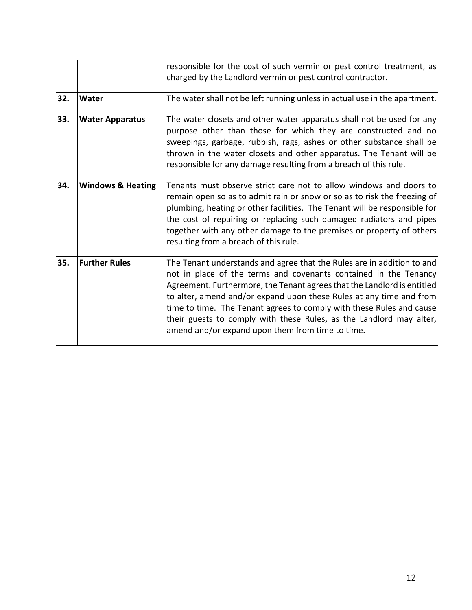|     |                              | responsible for the cost of such vermin or pest control treatment, as<br>charged by the Landlord vermin or pest control contractor.                                                                                                                                                                                                                                                                                                                                                             |
|-----|------------------------------|-------------------------------------------------------------------------------------------------------------------------------------------------------------------------------------------------------------------------------------------------------------------------------------------------------------------------------------------------------------------------------------------------------------------------------------------------------------------------------------------------|
| 32. | Water                        | The water shall not be left running unless in actual use in the apartment.                                                                                                                                                                                                                                                                                                                                                                                                                      |
| 33. | <b>Water Apparatus</b>       | The water closets and other water apparatus shall not be used for any<br>purpose other than those for which they are constructed and no<br>sweepings, garbage, rubbish, rags, ashes or other substance shall be<br>thrown in the water closets and other apparatus. The Tenant will be<br>responsible for any damage resulting from a breach of this rule.                                                                                                                                      |
| 34. | <b>Windows &amp; Heating</b> | Tenants must observe strict care not to allow windows and doors to<br>remain open so as to admit rain or snow or so as to risk the freezing of<br>plumbing, heating or other facilities. The Tenant will be responsible for<br>the cost of repairing or replacing such damaged radiators and pipes<br>together with any other damage to the premises or property of others<br>resulting from a breach of this rule.                                                                             |
| 35. | <b>Further Rules</b>         | The Tenant understands and agree that the Rules are in addition to and<br>not in place of the terms and covenants contained in the Tenancy<br>Agreement. Furthermore, the Tenant agrees that the Landlord is entitled<br>to alter, amend and/or expand upon these Rules at any time and from<br>time to time. The Tenant agrees to comply with these Rules and cause<br>their guests to comply with these Rules, as the Landlord may alter,<br>amend and/or expand upon them from time to time. |